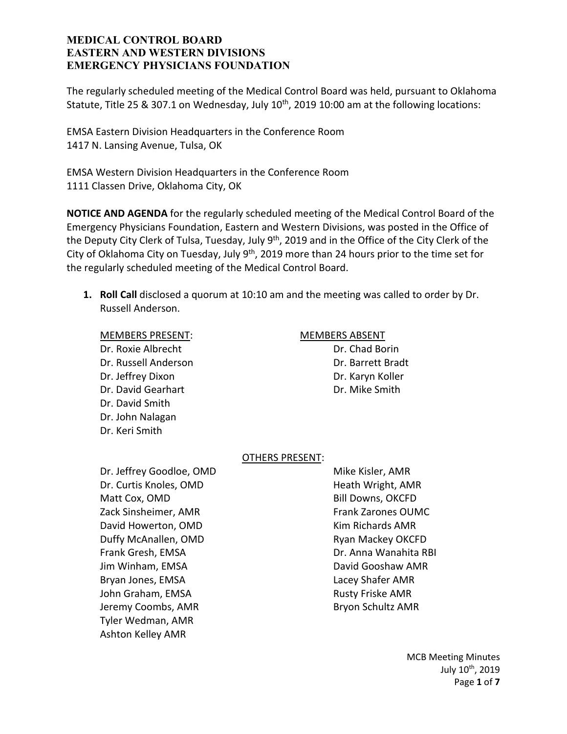The regularly scheduled meeting of the Medical Control Board was held, pursuant to Oklahoma Statute, Title 25 & 307.1 on Wednesday, July 10<sup>th</sup>, 2019 10:00 am at the following locations:

EMSA Eastern Division Headquarters in the Conference Room 1417 N. Lansing Avenue, Tulsa, OK

EMSA Western Division Headquarters in the Conference Room 1111 Classen Drive, Oklahoma City, OK

**NOTICE AND AGENDA** for the regularly scheduled meeting of the Medical Control Board of the Emergency Physicians Foundation, Eastern and Western Divisions, was posted in the Office of the Deputy City Clerk of Tulsa, Tuesday, July 9<sup>th</sup>, 2019 and in the Office of the City Clerk of the City of Oklahoma City on Tuesday, July 9<sup>th</sup>, 2019 more than 24 hours prior to the time set for the regularly scheduled meeting of the Medical Control Board.

**1. Roll Call** disclosed a quorum at 10:10 am and the meeting was called to order by Dr. Russell Anderson.

Dr. Roxie Albrecht Dr. Chad Borin Dr. Russell Anderson **Dr. Barrett Bradt** Dr. Jeffrey Dixon Dr. Karyn Koller Dr. David Gearhart **Dr. Dr. Mike Smith** Dr. David Smith Dr. John Nalagan Dr. Keri Smith

## MEMBERS PRESENT: MEMBERS ABSENT

### OTHERS PRESENT:

Dr. Jeffrey Goodloe, OMD Mike Kisler, AMR Dr. Curtis Knoles, OMD **Heath Wright, AMR** Matt Cox, OMD Bill Downs, OKCFD Zack Sinsheimer, AMR Frank Zarones OUMC David Howerton, OMD Kim Richards AMR Duffy McAnallen, OMD **Ryan Mackey OKCFD** Frank Gresh, EMSA Dr. Anna Wanahita RBI Jim Winham, EMSA David Gooshaw AMR Bryan Jones, EMSA Lacey Shafer AMR John Graham, EMSA Rusty Friske AMR Jeremy Coombs, AMR Bryon Schultz AMR Tyler Wedman, AMR Ashton Kelley AMR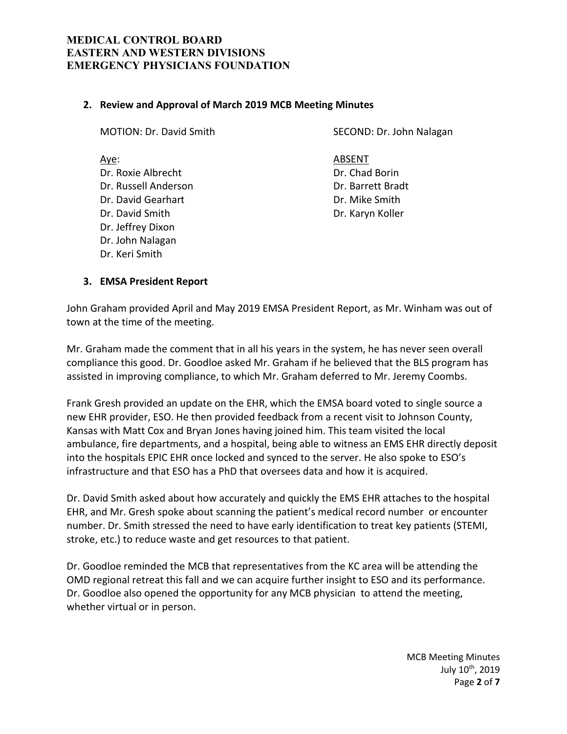## **2. Review and Approval of March 2019 MCB Meeting Minutes**

Dr. Roxie Albrecht Dr. Chad Borin Dr. Russell Anderson Dr. Barrett Bradt Dr. David Gearhart **Dr. Dr. Mike Smith** Dr. David Smith Dr. Karyn Koller Dr. Jeffrey Dixon Dr. John Nalagan Dr. Keri Smith

MOTION: Dr. David Smith SECOND: Dr. John Nalagan

Aye: ABSENT

### **3. EMSA President Report**

John Graham provided April and May 2019 EMSA President Report, as Mr. Winham was out of town at the time of the meeting.

Mr. Graham made the comment that in all his years in the system, he has never seen overall compliance this good. Dr. Goodloe asked Mr. Graham if he believed that the BLS program has assisted in improving compliance, to which Mr. Graham deferred to Mr. Jeremy Coombs.

Frank Gresh provided an update on the EHR, which the EMSA board voted to single source a new EHR provider, ESO. He then provided feedback from a recent visit to Johnson County, Kansas with Matt Cox and Bryan Jones having joined him. This team visited the local ambulance, fire departments, and a hospital, being able to witness an EMS EHR directly deposit into the hospitals EPIC EHR once locked and synced to the server. He also spoke to ESO's infrastructure and that ESO has a PhD that oversees data and how it is acquired.

Dr. David Smith asked about how accurately and quickly the EMS EHR attaches to the hospital EHR, and Mr. Gresh spoke about scanning the patient's medical record number or encounter number. Dr. Smith stressed the need to have early identification to treat key patients (STEMI, stroke, etc.) to reduce waste and get resources to that patient.

Dr. Goodloe reminded the MCB that representatives from the KC area will be attending the OMD regional retreat this fall and we can acquire further insight to ESO and its performance. Dr. Goodloe also opened the opportunity for any MCB physician to attend the meeting, whether virtual or in person.

> MCB Meeting Minutes July 10th, 2019 Page **2** of **7**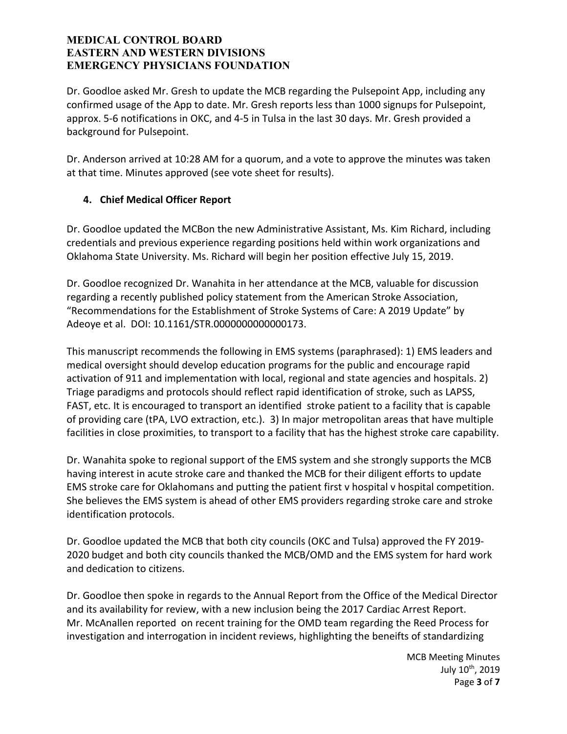Dr. Goodloe asked Mr. Gresh to update the MCB regarding the Pulsepoint App, including any confirmed usage of the App to date. Mr. Gresh reports less than 1000 signups for Pulsepoint, approx. 5-6 notifications in OKC, and 4-5 in Tulsa in the last 30 days. Mr. Gresh provided a background for Pulsepoint.

Dr. Anderson arrived at 10:28 AM for a quorum, and a vote to approve the minutes was taken at that time. Minutes approved (see vote sheet for results).

# **4. Chief Medical Officer Report**

Dr. Goodloe updated the MCBon the new Administrative Assistant, Ms. Kim Richard, including credentials and previous experience regarding positions held within work organizations and Oklahoma State University. Ms. Richard will begin her position effective July 15, 2019.

Dr. Goodloe recognized Dr. Wanahita in her attendance at the MCB, valuable for discussion regarding a recently published policy statement from the American Stroke Association, "Recommendations for the Establishment of Stroke Systems of Care: A 2019 Update" by Adeoye et al. DOI: 10.1161/STR.0000000000000173.

This manuscript recommends the following in EMS systems (paraphrased): 1) EMS leaders and medical oversight should develop education programs for the public and encourage rapid activation of 911 and implementation with local, regional and state agencies and hospitals. 2) Triage paradigms and protocols should reflect rapid identification of stroke, such as LAPSS, FAST, etc. It is encouraged to transport an identified stroke patient to a facility that is capable of providing care (tPA, LVO extraction, etc.). 3) In major metropolitan areas that have multiple facilities in close proximities, to transport to a facility that has the highest stroke care capability.

Dr. Wanahita spoke to regional support of the EMS system and she strongly supports the MCB having interest in acute stroke care and thanked the MCB for their diligent efforts to update EMS stroke care for Oklahomans and putting the patient first v hospital v hospital competition. She believes the EMS system is ahead of other EMS providers regarding stroke care and stroke identification protocols.

Dr. Goodloe updated the MCB that both city councils (OKC and Tulsa) approved the FY 2019- 2020 budget and both city councils thanked the MCB/OMD and the EMS system for hard work and dedication to citizens.

Dr. Goodloe then spoke in regards to the Annual Report from the Office of the Medical Director and its availability for review, with a new inclusion being the 2017 Cardiac Arrest Report. Mr. McAnallen reported on recent training for the OMD team regarding the Reed Process for investigation and interrogation in incident reviews, highlighting the beneifts of standardizing

> MCB Meeting Minutes July 10th, 2019 Page **3** of **7**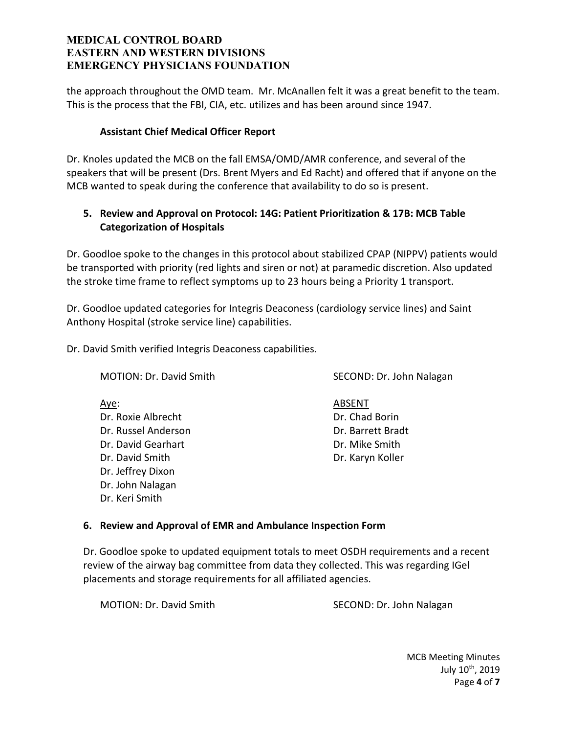the approach throughout the OMD team. Mr. McAnallen felt it was a great benefit to the team. This is the process that the FBI, CIA, etc. utilizes and has been around since 1947.

# **Assistant Chief Medical Officer Report**

Dr. Knoles updated the MCB on the fall EMSA/OMD/AMR conference, and several of the speakers that will be present (Drs. Brent Myers and Ed Racht) and offered that if anyone on the MCB wanted to speak during the conference that availability to do so is present.

# **5. Review and Approval on Protocol: 14G: Patient Prioritization & 17B: MCB Table Categorization of Hospitals**

Dr. Goodloe spoke to the changes in this protocol about stabilized CPAP (NIPPV) patients would be transported with priority (red lights and siren or not) at paramedic discretion. Also updated the stroke time frame to reflect symptoms up to 23 hours being a Priority 1 transport.

Dr. Goodloe updated categories for Integris Deaconess (cardiology service lines) and Saint Anthony Hospital (stroke service line) capabilities.

Dr. David Smith verified Integris Deaconess capabilities.

Aye: And ABSENT Dr. Roxie Albrecht Dr. Chad Borin Dr. Russel Anderson Dr. Barrett Bradt Dr. David Gearhart **Dr. David Searhart** Dr. David Smith Dr. Karyn Koller Dr. Jeffrey Dixon Dr. John Nalagan Dr. Keri Smith

MOTION: Dr. David Smith Second: Dr. John Nalagan

# **6. Review and Approval of EMR and Ambulance Inspection Form**

Dr. Goodloe spoke to updated equipment totals to meet OSDH requirements and a recent review of the airway bag committee from data they collected. This was regarding IGel placements and storage requirements for all affiliated agencies.

MOTION: Dr. David Smith Second: Dr. John Nalagan

MCB Meeting Minutes July 10th, 2019 Page **4** of **7**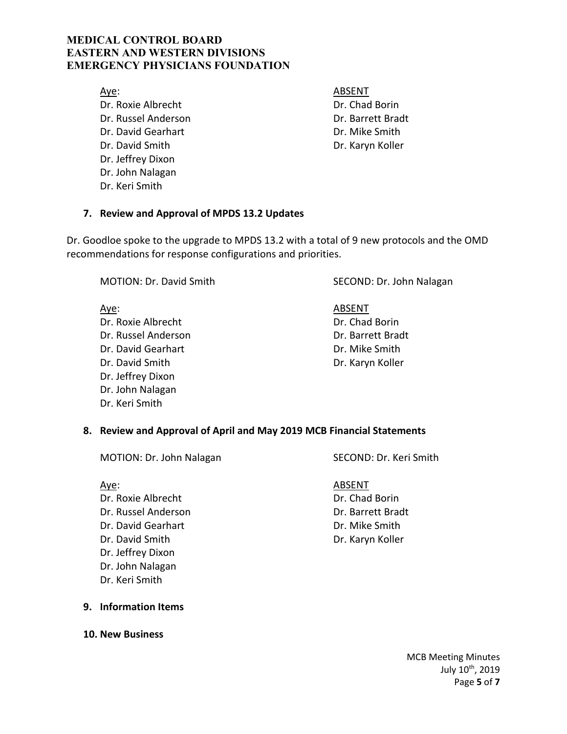Aye: And ABSENT Dr. Roxie Albrecht Dr. Chad Borin Dr. Russel Anderson Dr. Barrett Bradt Dr. David Gearhart **Dr. David Gearhart** Dr. David Smith Dr. Karyn Koller Dr. Jeffrey Dixon Dr. John Nalagan Dr. Keri Smith

## **7. Review and Approval of MPDS 13.2 Updates**

Dr. Goodloe spoke to the upgrade to MPDS 13.2 with a total of 9 new protocols and the OMD recommendations for response configurations and priorities.

Aye: And ABSENT Dr. Roxie Albrecht Dr. Chad Borin Dr. Russel Anderson Dr. Barrett Bradt Dr. David Gearhart **Dr. David Searhart** Dr. David Smith Dr. Karyn Koller Dr. Jeffrey Dixon Dr. John Nalagan Dr. Keri Smith

MOTION: Dr. David Smith SECOND: Dr. John Nalagan

# **8. Review and Approval of April and May 2019 MCB Financial Statements**

MOTION: Dr. John Nalagan SECOND: Dr. Keri Smith

Aye: And ABSENT Dr. Roxie Albrecht Dr. Chad Borin Dr. Russel Anderson Dr. Barrett Bradt Dr. David Gearhart **Dr. David Gearhart** Dr. David Smith Dr. Karyn Koller Dr. Jeffrey Dixon Dr. John Nalagan Dr. Keri Smith

## **9. Information Items**

**10. New Business**

MCB Meeting Minutes July 10th, 2019 Page **5** of **7**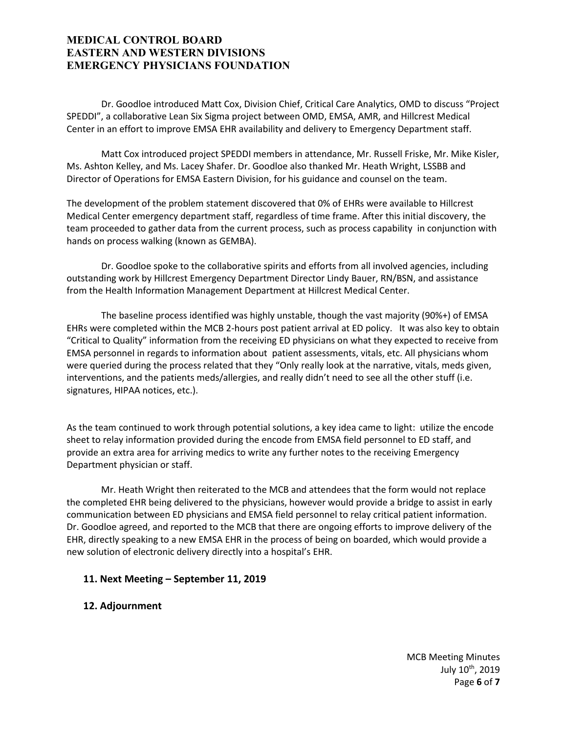Dr. Goodloe introduced Matt Cox, Division Chief, Critical Care Analytics, OMD to discuss "Project SPEDDI", a collaborative Lean Six Sigma project between OMD, EMSA, AMR, and Hillcrest Medical Center in an effort to improve EMSA EHR availability and delivery to Emergency Department staff.

 Matt Cox introduced project SPEDDI members in attendance, Mr. Russell Friske, Mr. Mike Kisler, Ms. Ashton Kelley, and Ms. Lacey Shafer. Dr. Goodloe also thanked Mr. Heath Wright, LSSBB and Director of Operations for EMSA Eastern Division, for his guidance and counsel on the team.

The development of the problem statement discovered that 0% of EHRs were available to Hillcrest Medical Center emergency department staff, regardless of time frame. After this initial discovery, the team proceeded to gather data from the current process, such as process capability in conjunction with hands on process walking (known as GEMBA).

 Dr. Goodloe spoke to the collaborative spirits and efforts from all involved agencies, including outstanding work by Hillcrest Emergency Department Director Lindy Bauer, RN/BSN, and assistance from the Health Information Management Department at Hillcrest Medical Center.

 The baseline process identified was highly unstable, though the vast majority (90%+) of EMSA EHRs were completed within the MCB 2-hours post patient arrival at ED policy. It was also key to obtain "Critical to Quality" information from the receiving ED physicians on what they expected to receive from EMSA personnel in regards to information about patient assessments, vitals, etc. All physicians whom were queried during the process related that they "Only really look at the narrative, vitals, meds given, interventions, and the patients meds/allergies, and really didn't need to see all the other stuff (i.e. signatures, HIPAA notices, etc.).

As the team continued to work through potential solutions, a key idea came to light: utilize the encode sheet to relay information provided during the encode from EMSA field personnel to ED staff, and provide an extra area for arriving medics to write any further notes to the receiving Emergency Department physician or staff.

 Mr. Heath Wright then reiterated to the MCB and attendees that the form would not replace the completed EHR being delivered to the physicians, however would provide a bridge to assist in early communication between ED physicians and EMSA field personnel to relay critical patient information. Dr. Goodloe agreed, and reported to the MCB that there are ongoing efforts to improve delivery of the EHR, directly speaking to a new EMSA EHR in the process of being on boarded, which would provide a new solution of electronic delivery directly into a hospital's EHR.

### **11. Next Meeting – September 11, 2019**

### **12. Adjournment**